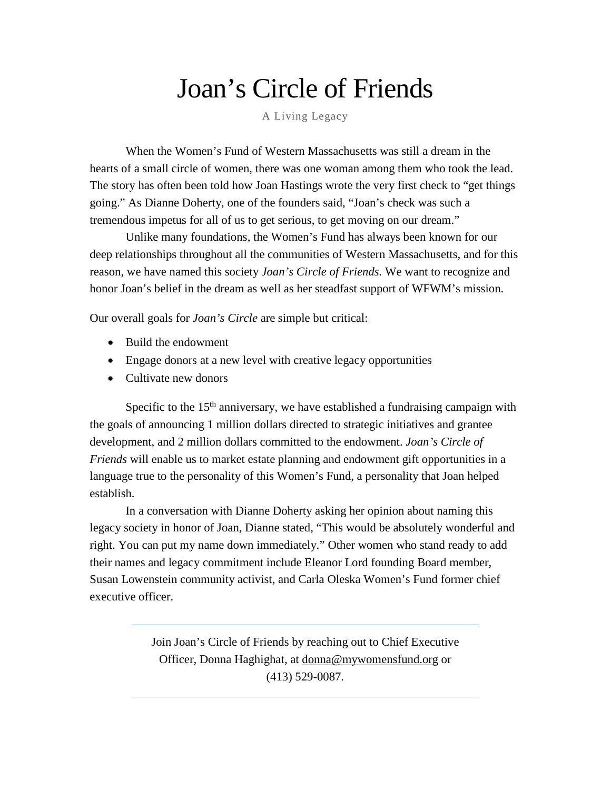## Joan's Circle of Friends

A Living Legacy

When the Women's Fund of Western Massachusetts was still a dream in the hearts of a small circle of women, there was one woman among them who took the lead. The story has often been told how Joan Hastings wrote the very first check to "get things going." As Dianne Doherty, one of the founders said, "Joan's check was such a tremendous impetus for all of us to get serious, to get moving on our dream."

Unlike many foundations, the Women's Fund has always been known for our deep relationships throughout all the communities of Western Massachusetts, and for this reason, we have named this society *Joan's Circle of Friends.* We want to recognize and honor Joan's belief in the dream as well as her steadfast support of WFWM's mission.

Our overall goals for *Joan's Circle* are simple but critical:

- Build the endowment
- Engage donors at a new level with creative legacy opportunities
- Cultivate new donors

Specific to the  $15<sup>th</sup>$  anniversary, we have established a fundraising campaign with the goals of announcing 1 million dollars directed to strategic initiatives and grantee development, and 2 million dollars committed to the endowment. *Joan's Circle of Friends* will enable us to market estate planning and endowment gift opportunities in a language true to the personality of this Women's Fund, a personality that Joan helped establish.

In a conversation with Dianne Doherty asking her opinion about naming this legacy society in honor of Joan, Dianne stated, "This would be absolutely wonderful and right. You can put my name down immediately." Other women who stand ready to add their names and legacy commitment include Eleanor Lord founding Board member, Susan Lowenstein community activist, and Carla Oleska Women's Fund former chief executive officer.

> Join Joan's Circle of Friends by reaching out to Chief Executive Officer, Donna Haghighat, at [donna@mywomensfund.org](mailto:donna@mywomensfund.org) or (413) 529-0087.